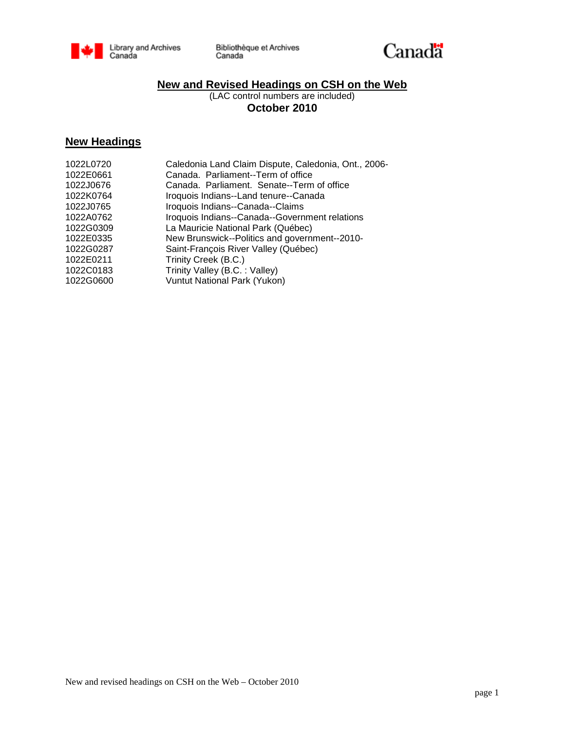



# **New and Revised Headings on CSH on the Web**

(LAC control numbers are included) **October 2010**

# **New Headings**

| 1022L0720 | Caledonia Land Claim Dispute, Caledonia, Ont., 2006- |
|-----------|------------------------------------------------------|
| 1022E0661 | Canada. Parliament--Term of office                   |
| 1022J0676 | Canada, Parliament, Senate--Term of office           |
| 1022K0764 | Iroquois Indians--Land tenure--Canada                |
| 1022J0765 | Iroquois Indians--Canada--Claims                     |
| 1022A0762 | Iroquois Indians--Canada--Government relations       |
| 1022G0309 | La Mauricie National Park (Québec)                   |
| 1022E0335 | New Brunswick--Politics and government--2010-        |
| 1022G0287 | Saint-François River Valley (Québec)                 |
| 1022E0211 | Trinity Creek (B.C.)                                 |
| 1022C0183 | Trinity Valley (B.C.: Valley)                        |
| 1022G0600 | Vuntut National Park (Yukon)                         |
|           |                                                      |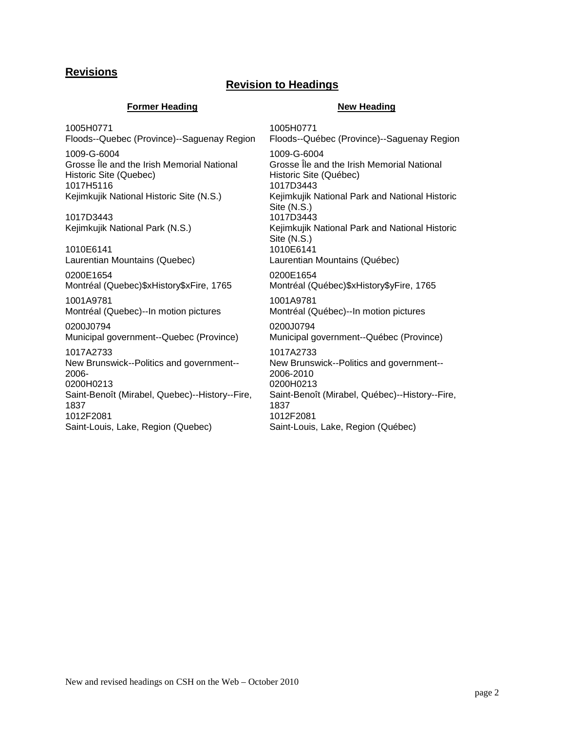# **Revisions**

## **Revision to Headings**

### **Former Heading New Heading**

1005H0771 Floods--Quebec (Province)--Saguenay Region

1009-G-6004 Grosse Île and the Irish Memorial National Historic Site (Quebec) 1017H5116 Kejimkujik National Historic Site (N.S.)

1017D3443 Kejimkujik National Park (N.S.)

1010E6141 Laurentian Mountains (Quebec)

0200E1654 Montréal (Quebec)\$xHistory\$xFire, 1765

1001A9781 Montréal (Quebec)--In motion pictures

0200J0794 Municipal government--Quebec (Province)

1017A2733 New Brunswick--Politics and government-- 2006- 0200H0213 Saint-Benoît (Mirabel, Quebec)--History--Fire, 1837 1012F2081 Saint-Louis, Lake, Region (Quebec)

1005H0771 Floods--Québec (Province)--Saguenay Region 1009-G-6004 Grosse Île and the Irish Memorial National Historic Site (Québec) 1017D3443 Kejimkujik National Park and National Historic Site (N.S.) 1017D3443 Kejimkujik National Park and National Historic Site (N.S.) 1010E6141 Laurentian Mountains (Québec) 0200E1654 Montréal (Québec)\$xHistory\$yFire, 1765 1001A9781 Montréal (Québec)--In motion pictures 0200J0794 Municipal government--Québec (Province) 1017A2733 New Brunswick--Politics and government-- 2006-2010 0200H0213 Saint-Benoît (Mirabel, Québec)--History--Fire, 1837 1012F2081

Saint-Louis, Lake, Region (Québec)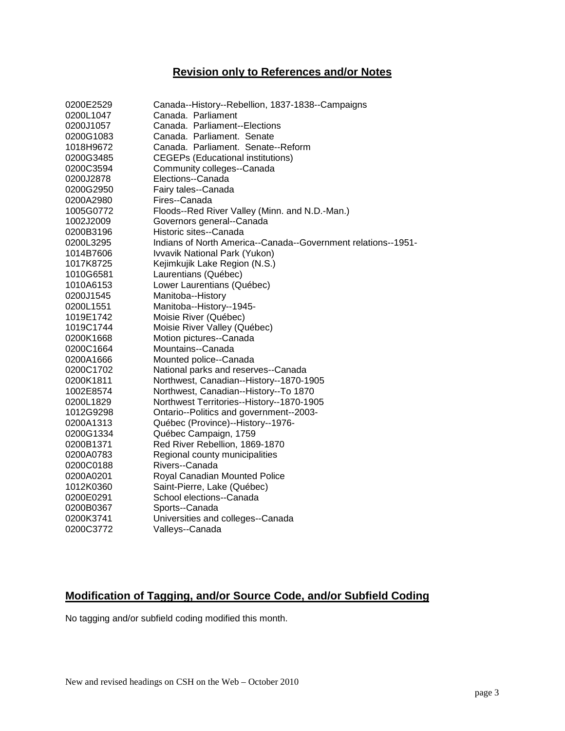# **Revision only to References and/or Notes**

| 0200E2529 | Canada--History--Rebellion, 1837-1838--Campaigns              |
|-----------|---------------------------------------------------------------|
| 0200L1047 | Canada. Parliament                                            |
| 0200J1057 | Canada. Parliament--Elections                                 |
| 0200G1083 | Canada. Parliament. Senate                                    |
| 1018H9672 | Canada, Parliament, Senate--Reform                            |
| 0200G3485 | <b>CEGEPs (Educational institutions)</b>                      |
| 0200C3594 | Community colleges--Canada                                    |
| 0200J2878 | Elections--Canada                                             |
| 0200G2950 | Fairy tales--Canada                                           |
| 0200A2980 | Fires--Canada                                                 |
| 1005G0772 | Floods--Red River Valley (Minn. and N.D.-Man.)                |
| 1002J2009 | Governors general--Canada                                     |
| 0200B3196 | Historic sites--Canada                                        |
| 0200L3295 | Indians of North America--Canada--Government relations--1951- |
| 1014B7606 | Ivvavik National Park (Yukon)                                 |
| 1017K8725 | Kejimkujik Lake Region (N.S.)                                 |
| 1010G6581 | Laurentians (Québec)                                          |
| 1010A6153 | Lower Laurentians (Québec)                                    |
| 0200J1545 | Manitoba--History                                             |
| 0200L1551 | Manitoba--History--1945-                                      |
| 1019E1742 | Moisie River (Québec)                                         |
| 1019C1744 | Moisie River Valley (Québec)                                  |
| 0200K1668 | Motion pictures--Canada                                       |
| 0200C1664 | Mountains--Canada                                             |
| 0200A1666 | Mounted police--Canada                                        |
| 0200C1702 | National parks and reserves--Canada                           |
| 0200K1811 | Northwest, Canadian--History--1870-1905                       |
| 1002E8574 | Northwest, Canadian--History--To 1870                         |
| 0200L1829 | Northwest Territories--History--1870-1905                     |
| 1012G9298 | Ontario--Politics and government--2003-                       |
| 0200A1313 | Québec (Province)--History--1976-                             |
| 0200G1334 | Québec Campaign, 1759                                         |
| 0200B1371 | Red River Rebellion, 1869-1870                                |
| 0200A0783 | Regional county municipalities                                |
| 0200C0188 | Rivers--Canada                                                |
| 0200A0201 | Royal Canadian Mounted Police                                 |
| 1012K0360 | Saint-Pierre, Lake (Québec)                                   |
| 0200E0291 | School elections--Canada                                      |
| 0200B0367 | Sports--Canada                                                |
| 0200K3741 | Universities and colleges--Canada                             |
| 0200C3772 | Valleys--Canada                                               |

# **Modification of Tagging, and/or Source Code, and/or Subfield Coding**

No tagging and/or subfield coding modified this month.